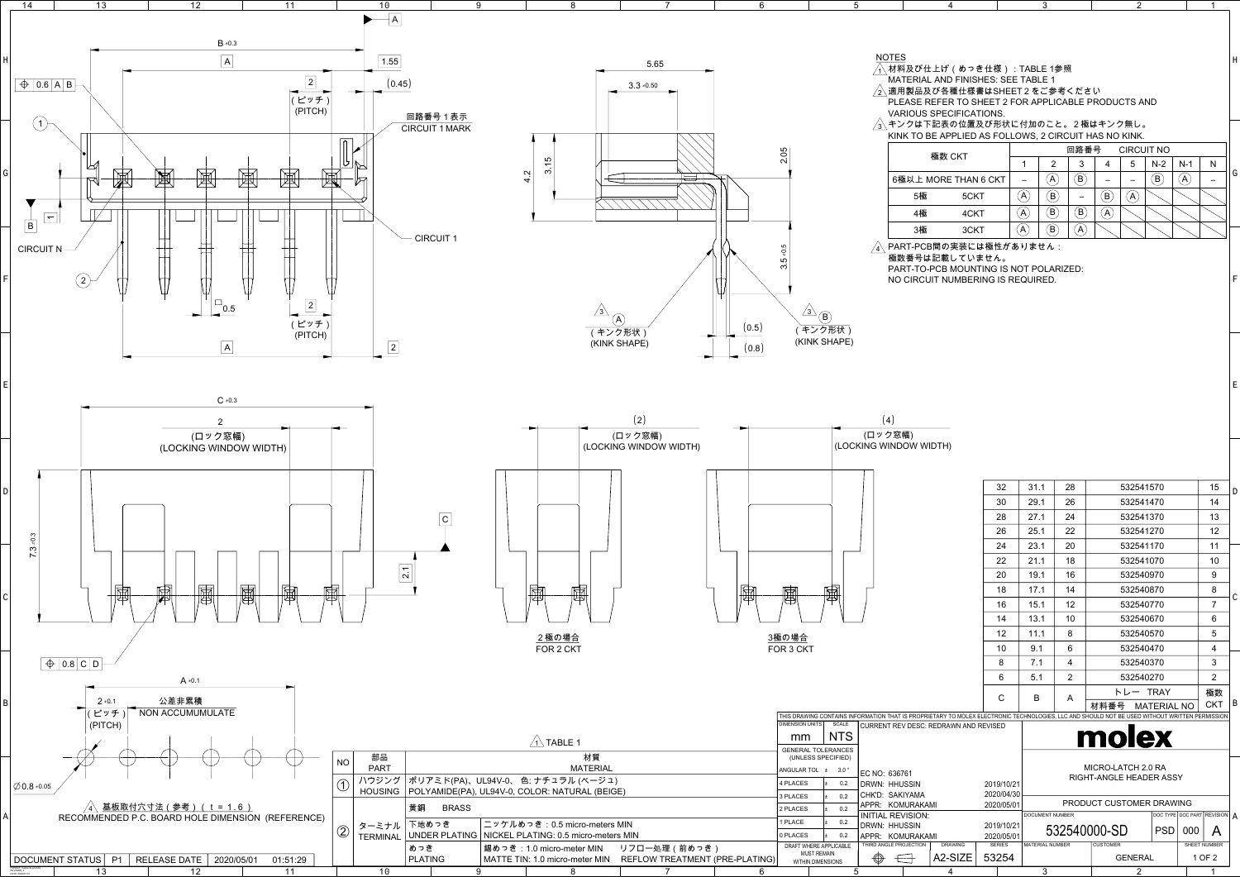| 6                                                                              |                                                           | 5                          |                                                                                                                                               | 4                                                                                             |                             | 3                                                     |                                                                   |                                | 2                                               |                            |                          |   |
|--------------------------------------------------------------------------------|-----------------------------------------------------------|----------------------------|-----------------------------------------------------------------------------------------------------------------------------------------------|-----------------------------------------------------------------------------------------------|-----------------------------|-------------------------------------------------------|-------------------------------------------------------------------|--------------------------------|-------------------------------------------------|----------------------------|--------------------------|---|
|                                                                                |                                                           |                            |                                                                                                                                               |                                                                                               |                             |                                                       |                                                                   |                                |                                                 |                            |                          |   |
| 5.65<br>$3.3 \pm 0.50$                                                         |                                                           |                            | <b>NOTES</b><br>╱2\適用製品及び各種仕様書はSHEET2をご参考ください                                                                                                 | <sub>、</sub> 材料及び仕上げ(めっき仕様):TABLE 1参照<br><b>MATERIAL AND FINISHES: SEE TABLE 1</b>            |                             |                                                       |                                                                   |                                |                                                 |                            |                          |   |
|                                                                                |                                                           |                            |                                                                                                                                               | PLEASE REFER TO SHEET 2 FOR APPLICABLE PRODUCTS AND                                           |                             |                                                       |                                                                   |                                |                                                 |                            |                          |   |
|                                                                                |                                                           |                            | $\sqrt{3}$ 、キンクは下記表の位置及び形状に付加のこと。2極はキンク無し。                                                                                                    | <b>VARIOUS SPECIFICATIONS.</b><br>KINK TO BE APPLIED AS FOLLOWS, 2 CIRCUIT HAS NO KINK.       |                             |                                                       |                                                                   |                                |                                                 |                            |                          |   |
|                                                                                | 2.05                                                      |                            |                                                                                                                                               | 極数 CKT                                                                                        |                             |                                                       | 回路番号                                                              |                                | <b>CIRCUIT NO</b>                               |                            |                          |   |
|                                                                                |                                                           |                            |                                                                                                                                               |                                                                                               |                             | 1                                                     | 2<br>3<br>$(\mathsf{B})$                                          | 4                              | 5<br>$N-2$<br>$\left(\mathsf{B}\right)$         | $N-1$<br>$(\mathsf{A})$    | N                        |   |
|                                                                                |                                                           |                            | 5極                                                                                                                                            | 6極以上 MORE THAN 6 CKT<br>5CKT                                                                  |                             | $\overline{\phantom{0}}$<br>$\left(\mathsf{A}\right)$ | $\left( \mathsf{A}\right)$<br>$(\mathsf{B})$<br>$\qquad \qquad -$ | $\bf (\mathsf{B})$             | $\qquad \qquad -$<br>$\left( \mathsf{A}\right)$ |                            | $\overline{\phantom{0}}$ |   |
|                                                                                |                                                           |                            | 4極                                                                                                                                            | 4CKT                                                                                          |                             | $({\sf A})$                                           | $\left(\mathbf{B}\right)$<br>$(\mathsf{B})$                       | $\left( {\sf A}\right)$        |                                                 |                            |                          |   |
|                                                                                |                                                           |                            | 3極                                                                                                                                            | 3CKT                                                                                          |                             | $\left(\mathsf{A}\right)$                             | $\left( \widehat{\mathsf{B}}\right)$<br>$\left(\mathsf{A}\right)$ |                                |                                                 |                            |                          |   |
|                                                                                |                                                           |                            | $\overline{\mathcal{A}}\backslash$ PART-PCB間の実装には極性がありません:                                                                                    |                                                                                               |                             |                                                       |                                                                   |                                |                                                 |                            |                          |   |
|                                                                                | $-0.5$<br>ن<br>ما<br><u>ന്</u>                            |                            |                                                                                                                                               | 極数番号は記載していません。<br>PART-TO-PCB MOUNTING IS NOT POLARIZED:<br>NO CIRCUIT NUMBERING IS REQUIRED. |                             |                                                       |                                                                   |                                |                                                 |                            |                          |   |
| $\mathsf{A}^{\backslash}$<br>(0.5)<br>ク形状)<br>SHAPE)<br>(0.8)<br>(2)<br>ロック窓幅) | $/3\backslash$<br>$\rm (B)$<br>(KINK SHAPE)               | キンク形状)                     | (4)<br>(ロック窓幅)                                                                                                                                |                                                                                               |                             |                                                       |                                                                   |                                |                                                 |                            |                          |   |
| <b>JG WINDOW WIDTH)</b>                                                        |                                                           |                            | (LOCKING WINDOW WIDTH)                                                                                                                        |                                                                                               | 32                          |                                                       | 28                                                                |                                | 532541570                                       |                            |                          |   |
|                                                                                |                                                           |                            |                                                                                                                                               |                                                                                               | 30                          | 31.1<br>29.1                                          | 26                                                                |                                | 532541470                                       |                            | 15<br>14                 |   |
|                                                                                |                                                           |                            |                                                                                                                                               |                                                                                               | 28                          | 27.1                                                  | 24                                                                |                                | 532541370                                       |                            | 13                       |   |
|                                                                                |                                                           |                            |                                                                                                                                               |                                                                                               | 26                          | 25.1                                                  | 22                                                                |                                | 532541270                                       |                            | 12                       |   |
|                                                                                |                                                           |                            |                                                                                                                                               |                                                                                               | 24                          | 23.1                                                  | 20                                                                |                                | 532541170                                       |                            | 11                       |   |
|                                                                                |                                                           |                            |                                                                                                                                               |                                                                                               | 22                          | 21.1                                                  | 18                                                                |                                | 532541070                                       |                            | 10                       |   |
|                                                                                |                                                           |                            |                                                                                                                                               |                                                                                               | 20                          | 19.1<br>17.1                                          | 16<br>14                                                          |                                | 532540970                                       |                            | 9                        |   |
| 圈                                                                              | 囤                                                         | 圑                          |                                                                                                                                               |                                                                                               | 18<br>16                    | 15.1                                                  | 12                                                                |                                | 532540870<br>532540770                          |                            | 8<br>$\overline{7}$      |   |
|                                                                                |                                                           |                            |                                                                                                                                               |                                                                                               | 14                          | 13.1                                                  | 10                                                                |                                | 532540670                                       |                            | 6                        |   |
|                                                                                | <u>3極の場合</u>                                              |                            |                                                                                                                                               |                                                                                               | 12                          | 11.1                                                  | 8                                                                 |                                | 532540570                                       |                            | $5\phantom{.0}$          |   |
|                                                                                | FOR 3 CKT                                                 |                            |                                                                                                                                               |                                                                                               | 10                          | 9.1                                                   | 6                                                                 |                                | 532540470                                       |                            | 4                        |   |
|                                                                                |                                                           |                            |                                                                                                                                               |                                                                                               | 8                           | 7.1                                                   | 4                                                                 |                                | 532540370                                       |                            | 3                        |   |
|                                                                                |                                                           |                            |                                                                                                                                               |                                                                                               | 6                           | 5.1                                                   | 2                                                                 |                                | 532540270                                       |                            | $\overline{2}$           |   |
|                                                                                |                                                           |                            | THIS DRAWING CONTAINS INFORMATION THAT IS PROPRIETARY TO MOLEX ELECTRONIC TECHNOLOGIES, LLC AND SHOULD NOT BE USED WITHOUT WRITTEN PERMISSION |                                                                                               | $\mathsf{C}$                | B                                                     | A                                                                 | 材料番号                           | トレー TRAY<br><b>MATERIAL NO</b>                  |                            | 極数<br><b>CKT</b>         | B |
|                                                                                | <b>DIMENSION UNITS</b><br>mm<br><b>GENERAL TOLERANCES</b> | <b>SCALE</b><br><b>NTS</b> | CURRENT REV DESC: REDRAWN AND REVISED                                                                                                         |                                                                                               |                             |                                                       |                                                                   | molex                          |                                                 |                            |                          |   |
|                                                                                | (UNLESS SPECIFIED)                                        |                            |                                                                                                                                               |                                                                                               |                             |                                                       |                                                                   | MICRO-LATCH 2.0 RA             |                                                 |                            |                          |   |
|                                                                                | ANGULAR TOL ± 3.0°<br>4 PLACES                            | 0.2<br>I±                  | EC NO: 636761<br>DRWN: HHUSSIN                                                                                                                |                                                                                               | 2019/10/21                  |                                                       |                                                                   | <b>RIGHT-ANGLE HEADER ASSY</b> |                                                 |                            |                          |   |
| iE)                                                                            | 3 PLACES                                                  | 0.2<br>$\pm$               | CHK'D: SAKIYAMA                                                                                                                               |                                                                                               | 2020/04/30                  |                                                       |                                                                   |                                |                                                 |                            |                          |   |
|                                                                                | 2 PLACES                                                  | 0.2<br>$\pm$               | APPR: KOMURAKAMI<br><b>INITIAL REVISION:</b>                                                                                                  |                                                                                               | 2020/05/01                  | DOCUMENT NUMBER                                       |                                                                   | PRODUCT CUSTOMER DRAWING       |                                                 | DOC TYPE DOC PART REVISION |                          |   |
| <b>MIN</b>                                                                     | 1 PLACE                                                   | 0.2<br>$\pm$               | DRWN: HHUSSIN                                                                                                                                 |                                                                                               | 2019/10/21                  |                                                       |                                                                   | 532540000-SD                   | <b>PSD</b>                                      | 000                        | $\mathsf{A}$             | A |
| ้ร MIN                                                                         | 0 PLACES<br>DRAFT WHERE APPLICABLE                        | 0.2<br>$\pm$               | APPR: KOMURAKAMI<br>THIRD ANGLE PROJECTION                                                                                                    | <b>DRAWING</b>                                                                                | 2020/05/01<br><b>SERIES</b> | <b>MATERIAL NUMBER</b>                                |                                                                   | <b>CUSTOMER</b>                |                                                 |                            | SHEET NUMBER             |   |
| リフロー処理(前めっき)<br>REFLOW TREATMENT (PRE-PLATING)                                 | <b>MUST REMAIN</b><br><b>WITHIN DIMENSIONS</b>            |                            | $\bigcirc$<br>$\leftarrow$                                                                                                                    | A2-SIZE                                                                                       | 53254                       |                                                       |                                                                   |                                | <b>GENERAL</b>                                  |                            | 1 OF 2                   |   |

DATE: 2020/01/14



1

2

3

4

5

6

7